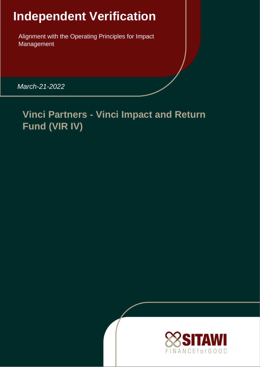# **Independent Verification**

Alignment with the Operating Principles for Impact Management

*March-21-2022*

## **Vinci Partners - Vinci Impact and Return Fund (VIR IV)**

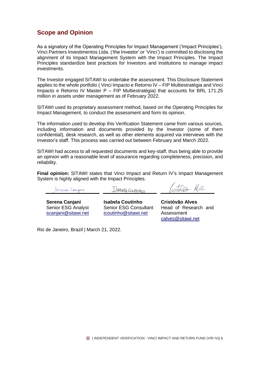## **Scope and Opinion**

As a signatory of the Operating Principles for Impact Management ('Impact Principles'), Vinci Partners Investimentos Ltda. ('the Investor' or 'Vinci') is committed to disclosing the alignment of its Impact Management System with the Impact Principles. The Impact Principles standardize best practices for Investors and institutions to manage impact investments.

The Investor engaged SITAWI to undertake the assessment. This Disclosure Statement applies to the whole portfolio ( Vinci Impacto e Retorno IV – FIP Multiestratégia and Vinci Impacto e Retorno IV Master P – FIP Multiestratégia) that accounts for BRL 171.25 million in assets under management as of February 2022.

SITAWI used its proprietary assessment method, based on the Operating Principles for Impact Management, to conduct the assessment and form its opinion.

The information used to develop this Verification Statement came from various sources, including information and documents provided by the Investor (some of them confidential), desk research, as well as other elements acquired via interviews with the Investor's staff. This process was carried out between February and March 2022.

SITAWI had access to all requested documents and key-staff, thus being able to provide an opinion with a reasonable level of assurance regarding completeness, precision, and reliability.

**Final opinion:** SITAWI states that Vinci Impact and Return IV's Impact Management System is highly aligned with the Impact Principles.

Serina Canjani

Isabela Coutinho

tration Aliter

**Serena Canjani** Senior ESG Analyst scanjani@sitawi.net **Isabela Coutinho** Senior ESG Consultant icoutinho@sitawi.net

**Cristóvão Alves** Head of Research and Assessment calves@sitawi.net

Rio de Janeiro, Brazil | March 21, 2022.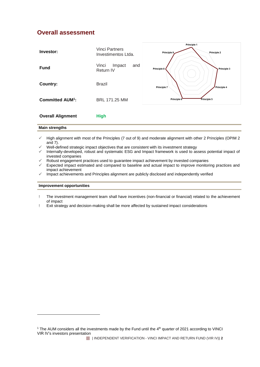## **Overall assessment**

| Investor:                         | <b>Vinci Partners</b><br>Investimentos Ltda. | Principle 1<br>Principle 9<br>Principle 2 |  |
|-----------------------------------|----------------------------------------------|-------------------------------------------|--|
| <b>Fund</b>                       | Vinci<br>Impact<br>and<br>Return IV          | Principle 8<br>Principle 3                |  |
| Country:                          | <b>Brazil</b>                                | Principle 4<br>Principle 7                |  |
| <b>Committed AUM<sup>1</sup>:</b> | BRL 171.25 MM                                | Principle 6<br>Principle 5                |  |
| <b>Overall Alignment</b>          | <b>High</b>                                  |                                           |  |

#### **Main strengths**

**.** 

- ✓ High alignment with most of the Principles (7 out of 9) and moderate alignment with other 2 Principles (OPIM 2 and 7).
- ✓ Well-defined strategic impact objectives that are consistent with its investment strategy
- ✓ Internally-developed, robust and systematic ESG and Impact framework is used to assess potential impact of invested companies
- ✓ Robust engagement practices used to guarantee impact achievement by invested companies
- Expected impact estimated and compared to baseline and actual impact to improve monitoring practices and impact achievement
- $\checkmark$  Impact achievements and Principles alignment are publicly disclosed and independently verified

#### **Improvement opportunities**

- **!** The investment management team shall have incentives (non-financial or financial) related to the achievement of impact
- **!** Exit strategy and decision-making shall be more affected by sustained impact considerations

<sup>&</sup>lt;sup>1</sup> The AUM considers all the investments made by the Fund until the 4<sup>th</sup> quarter of 2021 according to VINCI VIR IV's investors presentation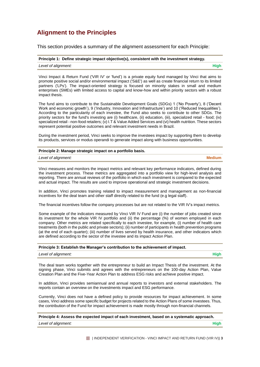## **Alignment to the Principles**

This section provides a summary of the alignment assessment for each Principle:

| Principle 1: Define strategic impact objective(s), consistent with the investment strategy. |             |  |
|---------------------------------------------------------------------------------------------|-------------|--|
| Level of alignment:                                                                         | <b>High</b> |  |

Vinci Impact & Return Fund ('VIR IV' or 'fund') is a private equity fund managed by Vinci that aims to promote positive social and/or environmental impact ('S&E') as well as create financial return to its limited partners ('LPs'). The impact-oriented strategy is focused on minority stakes in small and medium enterprises (SMEs) with limited access to capital and know-how and within priority sectors with a robust impact thesis.

The fund aims to contribute to the Sustainable Development Goals (SDGs) 1 ('No Poverty'), 8 ('Decent Work and economic growth'), 9 ('Industry, Innovation and Infrastructure') and 10 ('Reduced Inequalities'). According to the particularity of each investee, the Fund also seeks to contribute to other SDGs. The priority sectors for the fund's investing are (i) healthcare, (ii) education, (iii), specialized retail - food; (iv) specialized retail - non-food retailers; (v) I.T & Value Added Services and (vi) health nutrition. These sectors represent potential positive outcomes and relevant investment needs in Brazil.

During the investment period, Vinci seeks to improve the investees impact by supporting them to develop its products, services or modus operandi to generate impact along with business opportunities.

| Principle 2: Manage strategic impact on a portfolio basis. |        |  |
|------------------------------------------------------------|--------|--|
| Level of alignment:                                        | Medium |  |
|                                                            |        |  |
|                                                            |        |  |

Vinci measures and monitors the impact metrics and relevant key performance indicators, defined during the investment process. These metrics are aggregated into a portfolio view for high-level analysis and reporting. There are annual reviews of the portfolio in which each investment is compared to the expected and actual impact. The results are used to improve operational and strategic investment decisions.

In addition, Vinci promotes training related to impact measurement and management as non-financial incentives for the deal team and other staff directly related to the fund (e.g legal staff).

The financial incentives follow the company processes but are not related to the VIR IV's impact metrics.

Some example of the indicators measured by Vinci VIR IV Fund are (i) the number of jobs created since its investment for the whole VIR IV portfolio and (ii) the percentage (%) of women employed in each company. Other metrics are related specifically to each investee, for example, (i) number of health care treatments (both in the public and private sectors); (ii) number of participants in health prevention programs (at the end of each quarter); (iii) number of lives served by health insurance, and other indicators which are defined according to the sector of the investee and its impact Action Plan.

| Principle 3: Establish the Manager's contribution to the achievement of impact. |  |  |  |
|---------------------------------------------------------------------------------|--|--|--|
|                                                                                 |  |  |  |

| Level of alignment: |  |
|---------------------|--|
|                     |  |

The deal team works together with the entrepreneur to build an Impact Thesis of the investment. At the signing phase, Vinci submits and agrees with the entrepreneurs on the 100-day Action Plan, Value Creation Plan and the Five-Year Action Plan to address ESG risks and achieve positive impact.

In addition, Vinci provides semiannual and annual reports to investors and external stakeholders. The reports contain an overview on the investments impact and ESG performance.

Currently, Vinci does not have a defined policy to provide resources for impact achievement. In some cases, Vinci address some specific budget for projects related to the Action Plans of some investees. Thus, the contribution of the Fund for impact achievement is made mostly through non-financial channels.

#### **Principle 4: Assess the expected impact of each investment, based on a systematic approach.**

*Level of alignment:* **High**

| INDEPENDENT VERIFICATION - VINCI IMPACT AND RETURN FUND (VIR IV)| **3**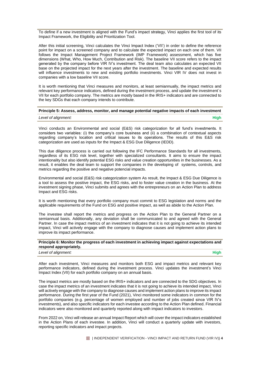To define if a new investment is aligned with the Fund's impact strategy, Vinci applies the first tool of its Impact Framework, the Eligibility and Prioritization Tool.

After this initial screening, Vinci calculates the Vinci Impact Index ('VII') in order to define the reference point for impact on a screened company and to calculate the expected impact on each one of them. VII follows the Impact Management Project Framework (IMP Framework) assessment, which has five dimensions (What, Who, How Much, Contribution and Risk). The baseline VII score refers to the impact generated by the company before VIR IV's investment. The deal team also calculates an expected VII base on the projected impact for the next years after the investment. The baseline and expected results will influence investments to new and existing portfolio investments. Vinci VIR IV does not invest in companies with a low baseline VII score.

It is worth mentioning that Vinci measures and monitors, at least semiannually, the impact metrics and relevant key performance indicators, defined during the investment process, and update the investment´s VII for each portfolio company. The metrics are mostly based in the IRIS+ indicators and are connected to the key SDGs that each company intends to contribute.

## **Principle 5: Assess, address, monitor, and manage potential negative impacts of each investment**

#### *Level of alignment:* **High**

Vinci conducts an Environmental and social (E&S) risk categorization for all fund's investments. It considers two variables: (i) the company's core business and (ii) a combination of contextual aspects regarding company's location and critical issues to its operations. The results of this E&S risk categorization are used as inputs for the Impact & ESG Due Diligence (IEDD).

This due diligence process is carried out following the IFC Performance Standards for all investments, regardless of its ESG risk level, together with specialized consultants. It aims to ensure the impact intentionality but also identify potential ESG risks and value creation opportunities in the businesses. As a result, it enables the deal team to support the companies in the developing of systems, controls, and metrics regarding the positive and negative potencial impacts.

Environmental and social (E&S) risk categorization system As result, the Impact & ESG Due Diligence is a tool to assess the positive impact, the ESG risks, and to foster value creation in the business. At the investment signing phase, Vinci submits and agrees with the entrepreneurs on an Action Plan to address Impact and ESG risks.

It is worth mentioning that every portfolio company must commit to ESG legislation and norms and the applicable requirements of the Fund on ESG and positive impact, as well as abide to the Action Plan.

The investee shall report the metrics and progress on the Action Plan to the General Partner on a semiannual basis. Additionally, any deviation shall be communicated to and agreed with the General Partner. In case the impact metrics of an investment indicates that it is not going to achieve its intended impact, Vinci will actively engage with the company to diagnose causes and implement action plans to improve its impact performance.

#### **Principle 6: Monitor the progress of each investment in achieving impact against expectations and respond appropriately.**

| Level of alignment: | Hiah |
|---------------------|------|
|                     |      |

After each investment, Vinci measures and monitors both ESG and impact metrics and relevant key performance indicators, defined during the investment process. Vinci updates the investment's Vinci Impact Index (VII) for each portfolio company on an annual basis.

The impact metrics are mostly based on the IRIS+ indicators and are connected to the SDG objectives. In case the impact metrics of an investment indicates that it is not going to achieve its intended impact, Vinci will actively engage with the company to diagnose causes and implement action plans to improve its impact performance. During the first year of the Fund (2021), Vinci monitored some indicators in common for the portfolio companies (e.g. percentage of women employed and number of jobs created since VIR IV's investments), and also specific indicators for each investee according to the Action Plan defined. Financial indicators were also monitored and quarterly reported along with impact indicators to investors.

From 2022 on, Vinci will release an annual Impact Report which will cover the impact indicators established in the Action Plans of each investee. In addition, Vinci will conduct a quarterly update with investors, reporting specific indicators and impact projects.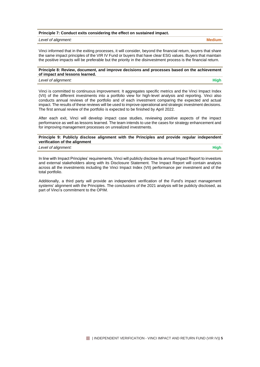#### **Principle 7: Conduct exits considering the effect on sustained impact.**

*Level of alignment:* **Medium**

Vinci informed that in the exiting processes, it will consider, beyond the financial return, buyers that share the same impact principles of the VIR IV Fund or buyers that have clear ESG values. Buyers that maintain the positive impacts will be preferable but the priority in the disinvestment process is the financial return.

#### **Principle 8: Review, document, and improve decisions and processes based on the achievement of impact and lessons learned.**

*Level of alignment:* **High**

Vinci is committed to continuous improvement. It aggregates specific metrics and the Vinci Impact Index (VII) of the different investments into a portfolio view for high-level analysis and reporting. Vinci also conducts annual reviews of the portfolio and of each investment comparing the expected and actual impact. The results of these reviews will be used to improve operational and strategic investment decisions. The first annual review of the portfolio is expected to be finished by April 2022.

After each exit, Vinci will develop impact case studies, reviewing positive aspects of the impact performance as well as lessons learned. The team intends to use the cases for strategy enhancement and for improving management processes on unrealized investments.

#### **Principle 9: Publicly disclose alignment with the Principles and provide regular independent verification of the alignment**

*Level of alignment:* **High**

In line with Impact Principles' requirements, Vinci will publicly disclose its annual Impact Report to investors and external stakeholders along with its Disclosure Statement. The Impact Report will contain analysis across all the investments including the Vinci Impact Index (VII) performance per investment and of the total portfolio.

Additionally, a third party will provide an independent verification of the Fund's impact management systems' alignment with the Principles. The conclusions of the 2021 analysis will be publicly disclosed, as part of Vinci's commitment to the OPIM.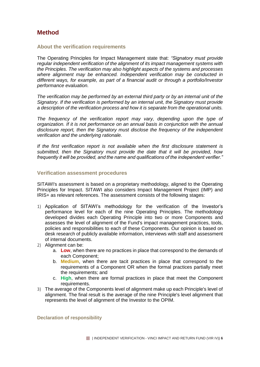## **Method**

#### **About the verification requirements**

The Operating Principles for Impact Management state that: *"Signatory must provide regular independent verification of the alignment of its impact management systems with the Principles. The verification may also highlight aspects of the systems and processes where alignment may be enhanced. Independent verification may be conducted in different ways, for example, as part of a financial audit or through a portfolio/Investor performance evaluation.* 

*The verification may be performed by an external third party or by an internal unit of the Signatory. If the verification is performed by an internal unit, the Signatory must provide a description of the verification process and how it is separate from the operational units.* 

The frequency of the verification report may vary, depending upon the type of *organization. If it is not performance on an annual basis in conjunction with the annual disclosure report, then the Signatory must disclose the frequency of the independent verification and the underlying rationale.* 

*If the first verification report is not available when the first disclosure statement is submitted, then the Signatory must provide the date that it will be provided, how frequently it will be provided, and the name and qualifications of the independent verifier."*

#### **Verification assessment procedures**

SITAWI's assessment is based on a proprietary methodology, aligned to the Operating Principles for Impact. SITAWI also considers Impact Management Project (IMP) and IRIS+ as relevant references. The assessment consists of the following stages:

- 1) Application of SITAWI's methodology for the verification of the Investor's performance level for each of the nine Operating Principles. The methodology developed divides each Operating Principle into two or more Components and assesses the level of alignment of the Fund's impact management practices, tools, policies and responsibilities to each of these Components. Our opinion is based on desk research of publicly available information, interviews with staff and assessment of internal documents.
- 2) Alignment can be:
	- a. **Low**, when there are no practices in place that correspond to the demands of each Component;
	- b. **Medium**, when there are tacit practices in place that correspond to the requirements of a Component OR when the formal practices partially meet the requirements; and
	- c. **High**, when there are formal practices in place that meet the Component requirements.
- 3) The average of the Components level of alignment make up each Principle's level of alignment. The final result is the average of the nine Principle's level alignment that represents the level of alignment of the Investor to the OPIM.

**Declaration of responsibility**